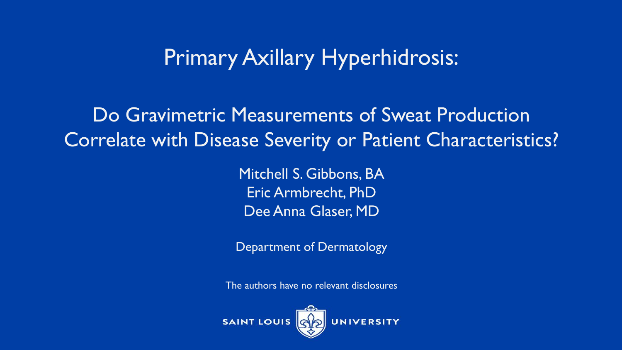## Primary Axillary Hyperhidrosis:

Do Gravimetric Measurements of Sweat Production Correlate with Disease Severity or Patient Characteristics?

> Mitchell S. Gibbons, BA Eric Armbrecht, PhD Dee Anna Glaser, MD

Department of Dermatology

The authors have no relevant disclosures

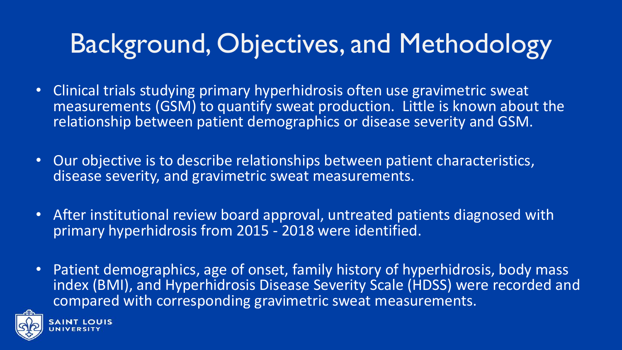## Background, Objectives, and Methodology

- Clinical trials studying primary hyperhidrosis often use gravimetric sweat measurements (GSM) to quantify sweat production. Little is known about the relationship between patient demographics or disease severity and GSM.
- Our objective is to describe relationships between patient characteristics, disease severity, and gravimetric sweat measurements.
- After institutional review board approval, untreated patients diagnosed with primary hyperhidrosis from 2015 - 2018 were identified.
- Patient demographics, age of onset, family history of hyperhidrosis, body mass index (BMI), and Hyperhidrosis Disease Severity Scale (HDSS) were recorded and compared with corresponding gravimetric sweat measurements.

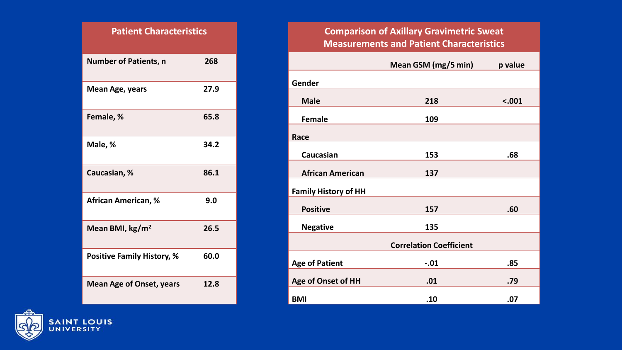| <b>Patient Characteristics</b>    |      |  |
|-----------------------------------|------|--|
| <b>Number of Patients, n</b>      | 268  |  |
| Mean Age, years                   | 27.9 |  |
| Female, %                         | 65.8 |  |
| Male, %                           | 34.2 |  |
| Caucasian, %                      | 86.1 |  |
| <b>African American, %</b>        | 9.0  |  |
| Mean BMI, kg/m <sup>2</sup>       | 26.5 |  |
| <b>Positive Family History, %</b> | 60.0 |  |
| <b>Mean Age of Onset, years</b>   | 12.8 |  |

## **Comparison of Axillary Gravimetric Sweat Measurements and Patient Characteristics**

|                             | Mean GSM (mg/5 min)            | p value |
|-----------------------------|--------------------------------|---------|
| Gender                      |                                |         |
| <b>Male</b>                 | 218                            | < .001  |
| <b>Female</b>               | 109                            |         |
| Race                        |                                |         |
| Caucasian                   | 153                            | .68     |
| <b>African American</b>     | 137                            |         |
| <b>Family History of HH</b> |                                |         |
| <b>Positive</b>             | 157                            | .60     |
| <b>Negative</b>             | 135                            |         |
|                             | <b>Correlation Coefficient</b> |         |
| <b>Age of Patient</b>       | $-.01$                         | .85     |
| <b>Age of Onset of HH</b>   | .01                            | .79     |
| <b>BMI</b>                  | .10                            | .07     |

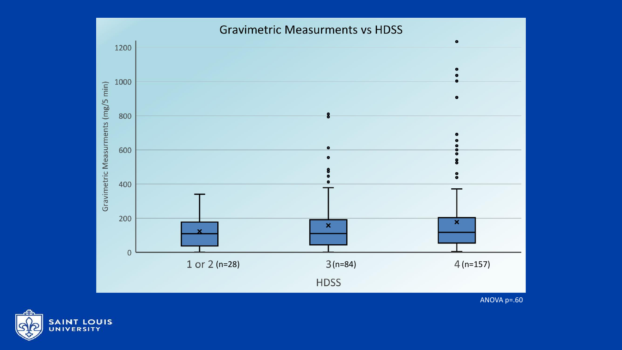

ANOVA p=.60